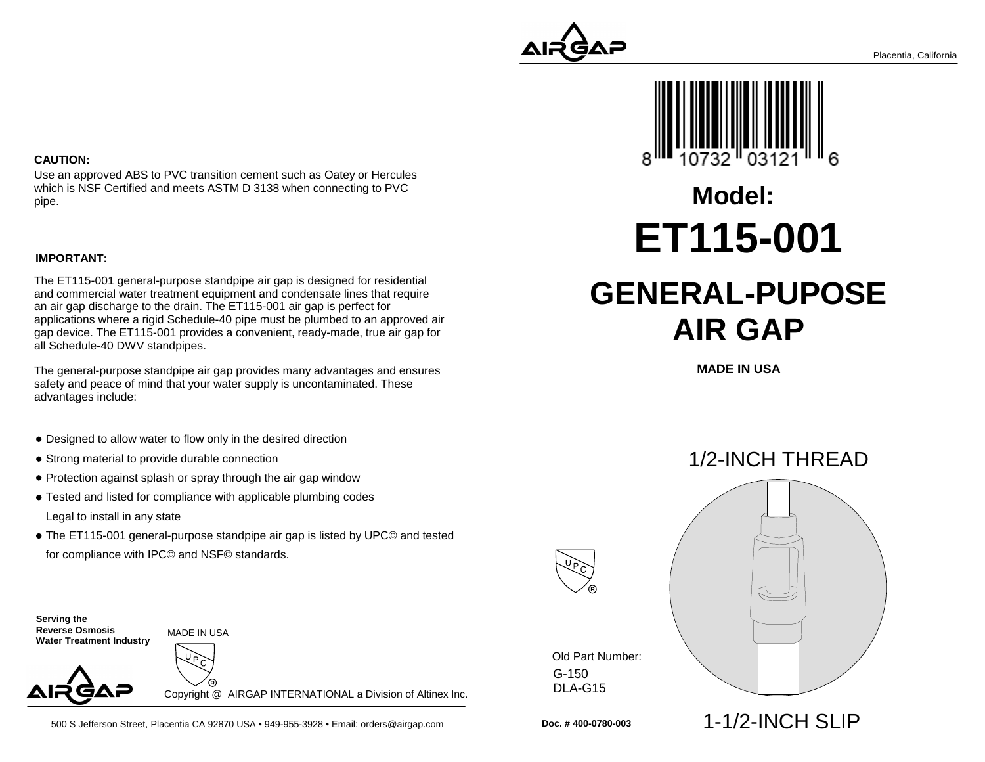

# **Model:ET115-001**

# **GENERAL-PUPOSEAIR GAP**

**MADE IN USA**

### 1/2-INCH THREAD



G-150 DLA-G15Old Part Number:

#### **CAUTION:**

Use an approved ABS to PVC transition cement such as Oatey or Herculeswhich is NSF Certified and meets ASTM D 3138 when connecting to PVCpipe.

#### **IMPORTANT:**

The ET115-001 general-purpose standpipe air gap is designed for residential and commercial water treatment equipment and condensate lines that requirean air gap discharge to the drain. The ET115-001 air gap is perfect for applications where a rigid Schedule-40 pipe must be plumbed to an approved air gap device. The ET115-001 provides a convenient, ready-made, true air gap forall Schedule-40 DWV standpipes.

The general-purpose standpipe air gap provides many advantages and ensuressafety and peace of mind that your water supply is uncontaminated. Theseadvantages include:

- Designed to allow water to flow only in the desired direction
- Strong material to provide durable connection
- Protection against splash or spray through the air gap window
- Tested and listed for compliance with applicable plumbing codes Legal to install in any state
- The ET115-001 general-purpose standpipe air gap is listed by UPC© and tested for compliance with IPC© and NSF© standards.

**Serving the Reverse Osmosis Water Treatment Industry**

MADE IN USA



Copyright @ AIRGAP INTERNATIONAL a Division of Altinex Inc.

500 S Jefferson Street, Placentia CA 92870 USA • 949-955-3928 • Email: orders@airgap.com

**Doc. # 400-0780-003**